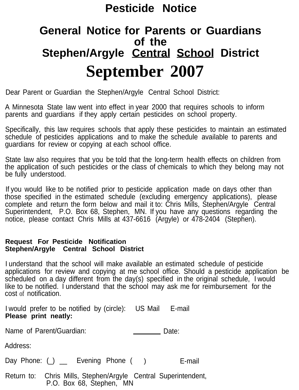## **Pesticide Notice**

## **General Notice for Parents or Guardians of the Stephen/Argyle Central School District September 2007**

Dear Parent or Guardian the Stephen/Argyle Central School District:

A Minnesota State law went into effect in year 2000 that requires schools to inform parents and guardians if they apply certain pesticides on school property.

Specifically, this law requires schools that apply these pesticides to maintain an estimated schedule of pesticides applications and to make the schedule available to parents and guardians for review or copying at each school office.

State law also requires that you be told that the long-term health effects on children from the application of such pesticides or the class of chemicals to which they belong may not be fully understood.

If you would like to be notified prior to pesticide application made on days other than those specified in the estimated schedule (excluding emergency applications), please complete and return the form below and mail it to: Chris Mills, Stephen/Argyle Central Superintendent, P.O. Box 68, Stephen, MN. If you have any questions regarding the notice, please contact Chris Mills at 437-6616 (Argyle) or 478-2404 (Stephen).

## **Request For Pesticide Notification Stephen/Argyle Central School District**

I understand that the school will make available an estimated schedule of pesticide applications for review and copying at me school office. Should a pesticide application be scheduled on a day different from the day(s) specified in the original schedule, I would like to be notified. I understand that the school may ask me for reimbursement for the cost of notification.

|  | I would prefer to be notified by (circle): US Mail E-mail |  |  |
|--|-----------------------------------------------------------|--|--|
|  | Please print neatly:                                      |  |  |

Name of Parent/Guardian: Date:

Address:

Day Phone: (\_) \_\_ Evening Phone ( ) E-mail

Return to: Chris Mills, Stephen/Argyle Central Superintendent, P.O. Box 68, Stephen, MN